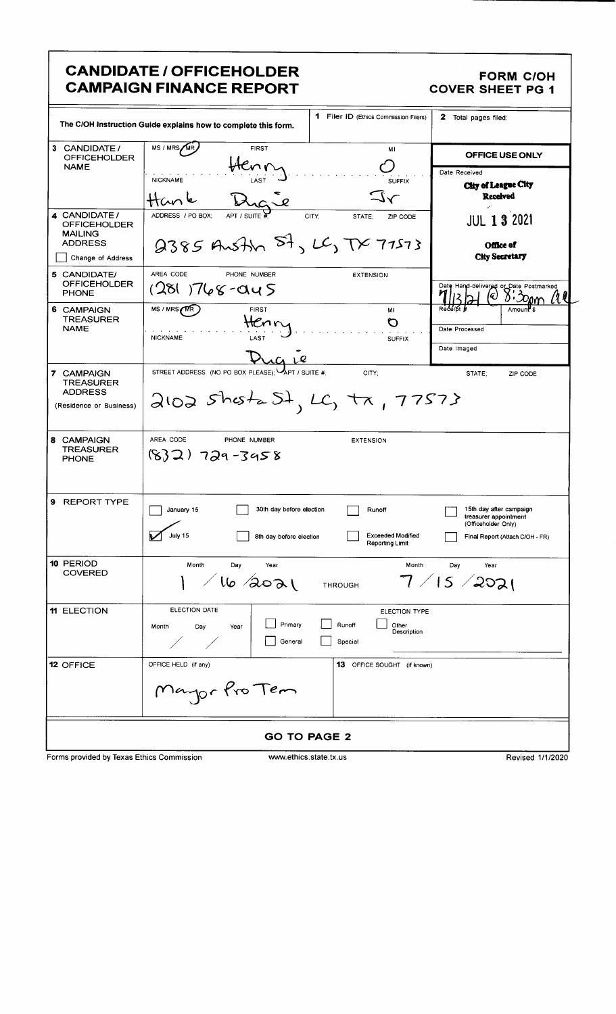## CANDIDATE / OFFICEHOLDER FORM C/OH CAMPAIGN FINANCE REPORT COVER SHEET PG 1

|                                                                                                      | 1 Filer ID (Ethics Commission Filers)<br>The C/OH Instruction Guide explains how to complete this form.                                                 | 2 Total pages filed:                                                                                       |  |  |  |  |  |  |
|------------------------------------------------------------------------------------------------------|---------------------------------------------------------------------------------------------------------------------------------------------------------|------------------------------------------------------------------------------------------------------------|--|--|--|--|--|--|
| 3 CANDIDATE /<br><b>OFFICEHOLDER</b><br><b>NAME</b>                                                  | MS / MRS/MR<br><b>FIRST</b><br>ΜI<br>Knn<br><b>NICKNAME</b><br><b>SUFFIX</b><br>$\sim$                                                                  | OFFICE USE ONLY<br>Date Received<br>City of League City<br>Received                                        |  |  |  |  |  |  |
| 4 CANDIDATE /<br><b>OFFICEHOLDER</b><br><b>MAILING</b><br><b>ADDRESS</b><br>Change of Address        | ADDRESS / PO BOX:<br>APT / SUITE #<br>CITY:<br>STATE:<br>ZIP CODE<br>2385 Austin St, LC, TX 77573                                                       | JUL <b>1 3</b> 2021<br>Office of<br><b>City Secretary</b>                                                  |  |  |  |  |  |  |
| 5 CANDIDATE/<br><b>OFFICEHOLDER</b><br><b>PHONE</b><br>6 CAMPAIGN<br><b>TREASURER</b><br><b>NAME</b> | AREA CODE<br>PHONE NUMBER<br><b>EXTENSION</b><br>(281 )768-045<br>MS / MRS / MR<br>FIRST<br>MI<br>HCnr<br>O<br><b>NICKNAME</b><br>LAST<br><b>SUFFIX</b> | Date Hand-delivered or Date Postmarked<br>Q)<br>Red<br>Date Processed<br>Date Imaged                       |  |  |  |  |  |  |
| 7 CAMPAIGN<br><b>TREASURER</b><br><b>ADDRESS</b><br>(Residence or Business)                          | STREET ADDRESS (NO PO BOX PLEASE); APT / SUITE #:<br>CITY:<br>$2102$ shota St, LC, tx, 77573                                                            | STATE:<br>ZIP CODE                                                                                         |  |  |  |  |  |  |
| 8 CAMPAIGN<br><b>TREASURER</b><br><b>PHONE</b>                                                       | AREA CODE<br>PHONE NUMBER<br><b>EXTENSION</b><br>$(832)$ 729-3458                                                                                       |                                                                                                            |  |  |  |  |  |  |
| 9<br><b>REPORT TYPE</b>                                                                              | 30th day before election<br>January 15<br>Runoff<br>July 15<br><b>Exceeded Modified</b><br>8th day before election<br>Reporting Limit                   | 15th day after campaign<br>treasurer appointment<br>(Officeholder Only)<br>Final Report (Attach C/OH - FR) |  |  |  |  |  |  |
| 10 PERIOD<br><b>COVERED</b>                                                                          | Month<br>Day<br>Month<br>Year<br>$/$ lle soal<br><b>THROUGH</b>                                                                                         | Day<br>Year<br>$7$ / IS / 2၁၁၂                                                                             |  |  |  |  |  |  |
| 11 ELECTION                                                                                          | ELECTION DATE<br><b>ELECTION TYPE</b><br>Primary<br>Runoff<br>Other<br>Month<br>Day<br>Year<br>Description<br>General<br>Special                        |                                                                                                            |  |  |  |  |  |  |
| 12 OFFICE                                                                                            | OFFICE HELD (if any)<br>13 OFFICE SOUGHT (if known)<br>Mayor Pro Tem                                                                                    |                                                                                                            |  |  |  |  |  |  |
| <b>GO TO PAGE 2</b>                                                                                  |                                                                                                                                                         |                                                                                                            |  |  |  |  |  |  |
| Forms provided by Texas Ethics Commission                                                            | www.ethics.state.tx.us                                                                                                                                  | Revised 1/1/2020                                                                                           |  |  |  |  |  |  |